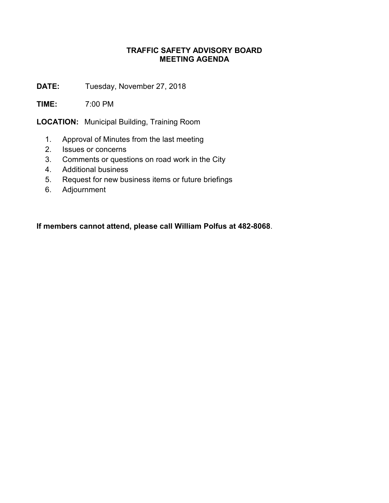## **TRAFFIC SAFETY ADVISORY BOARD MEETING AGENDA**

**DATE:** Tuesday, November 27, 2018

**TIME:** 7:00 PM

**LOCATION:** Municipal Building, Training Room

- 1. Approval of Minutes from the last meeting
- 2. Issues or concerns
- 3. Comments or questions on road work in the City
- 4. Additional business
- 5. Request for new business items or future briefings
- 6. Adjournment

**If members cannot attend, please call William Polfus at 482-8068**.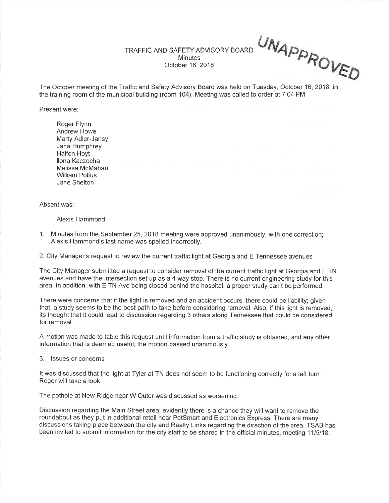TRAFFIC AND SAFETY ADVISORY BOARD**Minutes** October 16,2018

UNAPP<sub>PR</sub>

VED

The October meeting of the Traffic and Safety Advisory Board was held on Tuesday, October 16, 2018, inthe training room of the municipal building (room 104). Meeting was called to order at 7:04 PM

Present were:

Roger Flynn Andrew Howe Marty Adler-JansyJana HumphreyHalfen Hoyt llona Kaczocha Melissa McMahanWilliam PolfusJane Shelton

Absent was

Alexis Hammond

1. Minutes from the September 25,2018 meeting were approved unanimously, with one correction;Alexis Hammond's last name was spelled incorrectly.

2. City Manager's request to review the current traffic light at Georgia and E Tennessee avenues

The City Manager submitted a request to consider removal of the current traffic light at Georgia and E TN avenues and have the intersection set up as a 4 way stop. There is no current engineering study for thisarea. ln addition, with E TN Ave being closed behind the hospital, a proper study can't be performed.

There were concerns that if the light is removed and an accident occurs, there could be liability; given that, a study seems to be the best path to take before considering removal. Also, if this light is removed,ts thought that it could lead to discussion regarding 3 others along Tennessee that could be considered for removal.

A motion was made to table this request until information from a traffic study is obtained, and any otherinformation that is deemed useful; the motion passed unanimously.

3. lssues or concerns

It was discussed that the light at Tyler at TN does not seem to be functioning correctly for a left turn.Roger will take a look.

The pothole at New Ridge near W Outer was discussed as worsening.

Discussion regarding the Main Street area; evidently there is a chance they will want to remove the roundabout as they put in additional retail near PetSmart and Electronics Express. There are many discussions taking place between the city and Realty Links regarding the direction of the area. TSAB hasbeen invited to submit information for the city staff to be shared in the official minutes, meeting 1115118.